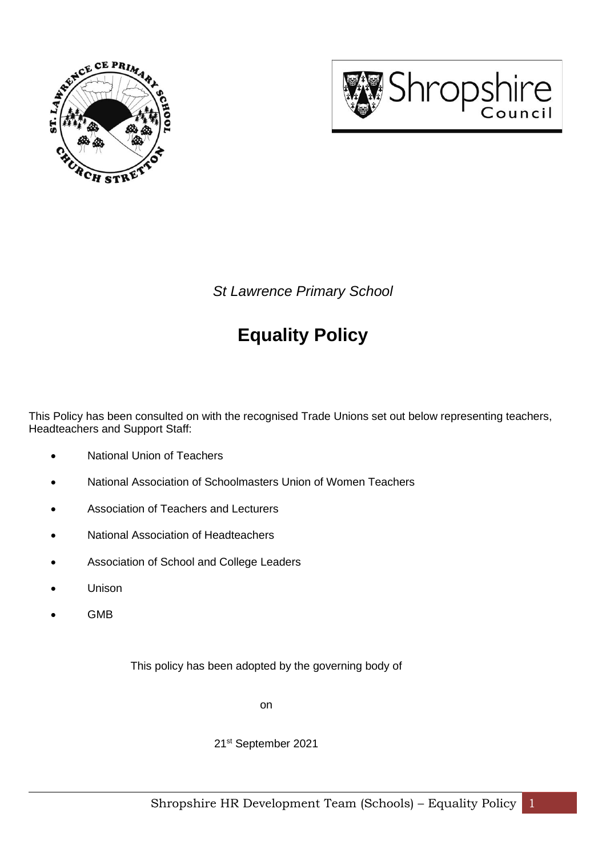



*St Lawrence Primary School*

# **Equality Policy**

This Policy has been consulted on with the recognised Trade Unions set out below representing teachers, Headteachers and Support Staff:

- National Union of Teachers
- National Association of Schoolmasters Union of Women Teachers
- Association of Teachers and Lecturers
- National Association of Headteachers
- Association of School and College Leaders
- Unison
- GMB

This policy has been adopted by the governing body of

on

21st September 2021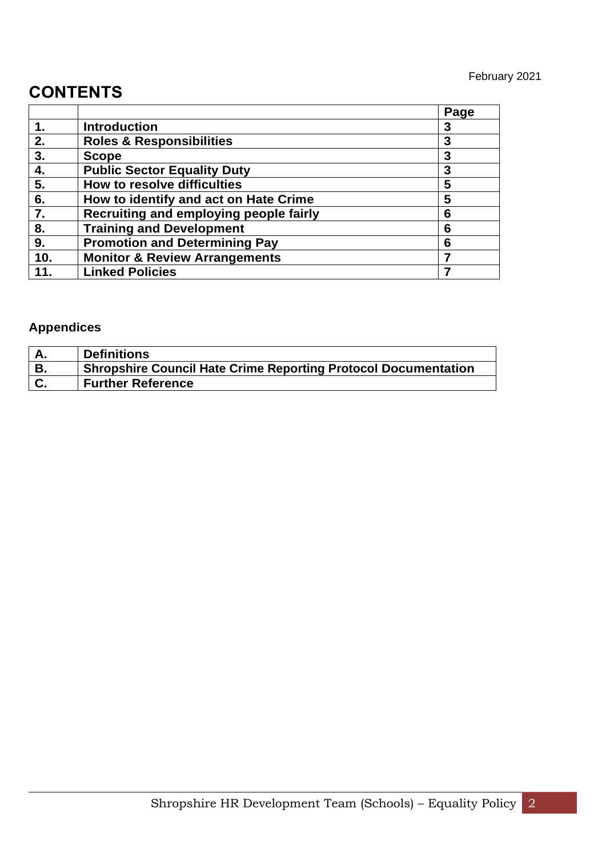# **CONTENTS**

|     |                                          | Page |
|-----|------------------------------------------|------|
|     | <b>Introduction</b>                      | 3    |
| 2.  | <b>Roles &amp; Responsibilities</b>      | 3    |
| 3.  | <b>Scope</b>                             | 3    |
| 4.  | <b>Public Sector Equality Duty</b>       | 3    |
| 5.  | How to resolve difficulties              | 5    |
| 6.  | How to identify and act on Hate Crime    | 5    |
| 7.  | Recruiting and employing people fairly   | 6    |
| 8.  | <b>Training and Development</b>          | 6    |
| 9.  | <b>Promotion and Determining Pay</b>     | 6    |
| 10. | <b>Monitor &amp; Review Arrangements</b> |      |
| 11. | <b>Linked Policies</b>                   |      |

# **Appendices**

|                | <b>Definitions</b>                                             |
|----------------|----------------------------------------------------------------|
| В.             | Shropshire Council Hate Crime Reporting Protocol Documentation |
| $\mathbf{C}$ . | <b>Further Reference</b>                                       |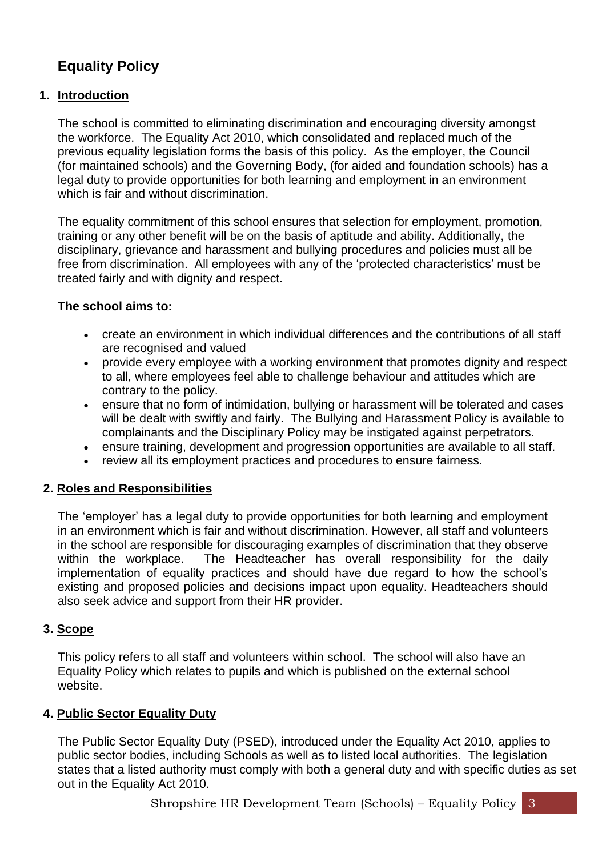# **Equality Policy**

# **1. Introduction**

The school is committed to eliminating discrimination and encouraging diversity amongst the workforce. The Equality Act 2010, which consolidated and replaced much of the previous equality legislation forms the basis of this policy. As the employer, the Council (for maintained schools) and the Governing Body, (for aided and foundation schools) has a legal duty to provide opportunities for both learning and employment in an environment which is fair and without discrimination.

The equality commitment of this school ensures that selection for employment, promotion, training or any other benefit will be on the basis of aptitude and ability. Additionally, the disciplinary, grievance and harassment and bullying procedures and policies must all be free from discrimination. All employees with any of the 'protected characteristics' must be treated fairly and with dignity and respect.

#### **The school aims to:**

- create an environment in which individual differences and the contributions of all staff are recognised and valued
- provide every employee with a working environment that promotes dignity and respect to all, where employees feel able to challenge behaviour and attitudes which are contrary to the policy.
- ensure that no form of intimidation, bullying or harassment will be tolerated and cases will be dealt with swiftly and fairly. The Bullying and Harassment Policy is available to complainants and the Disciplinary Policy may be instigated against perpetrators.
- ensure training, development and progression opportunities are available to all staff.
- review all its employment practices and procedures to ensure fairness.

#### **2. Roles and Responsibilities**

The 'employer' has a legal duty to provide opportunities for both learning and employment in an environment which is fair and without discrimination. However, all staff and volunteers in the school are responsible for discouraging examples of discrimination that they observe within the workplace. The Headteacher has overall responsibility for the daily implementation of equality practices and should have due regard to how the school's existing and proposed policies and decisions impact upon equality. Headteachers should also seek advice and support from their HR provider.

#### **3. Scope**

This policy refers to all staff and volunteers within school. The school will also have an Equality Policy which relates to pupils and which is published on the external school website.

#### **4. Public Sector Equality Duty**

The Public Sector Equality Duty (PSED), introduced under the Equality Act 2010, applies to public sector bodies, including Schools as well as to listed local authorities. The legislation states that a listed authority must comply with both a general duty and with specific duties as set out in the Equality Act 2010.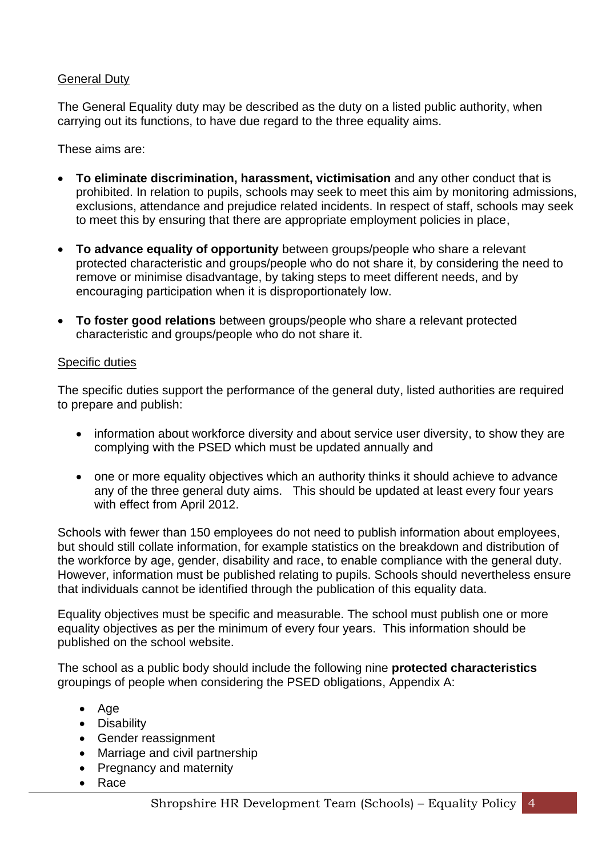#### General Duty

The General Equality duty may be described as the duty on a listed public authority, when carrying out its functions, to have due regard to the three equality aims.

These aims are:

- **To eliminate discrimination, harassment, victimisation** and any other conduct that is prohibited. In relation to pupils, schools may seek to meet this aim by monitoring admissions, exclusions, attendance and prejudice related incidents. In respect of staff, schools may seek to meet this by ensuring that there are appropriate employment policies in place,
- **To advance equality of opportunity** between groups/people who share a relevant protected characteristic and groups/people who do not share it, by considering the need to remove or minimise disadvantage, by taking steps to meet different needs, and by encouraging participation when it is disproportionately low.
- **To foster good relations** between groups/people who share a relevant protected characteristic and groups/people who do not share it.

#### Specific duties

The specific duties support the performance of the general duty, listed authorities are required to prepare and publish:

- information about workforce diversity and about service user diversity, to show they are complying with the PSED which must be updated annually and
- one or more equality objectives which an authority thinks it should achieve to advance any of the three general duty aims. This should be updated at least every four years with effect from April 2012.

Schools with fewer than 150 employees do not need to publish information about employees, but should still collate information, for example statistics on the breakdown and distribution of the workforce by age, gender, disability and race, to enable compliance with the general duty. However, information must be published relating to pupils. Schools should nevertheless ensure that individuals cannot be identified through the publication of this equality data.

Equality objectives must be specific and measurable. The school must publish one or more equality objectives as per the minimum of every four years. This information should be published on the school website.

The school as a public body should include the following nine **protected characteristics** groupings of people when considering the PSED obligations, Appendix A:

- Age
- Disability
- Gender reassignment
- Marriage and civil partnership
- Pregnancy and maternity
- Race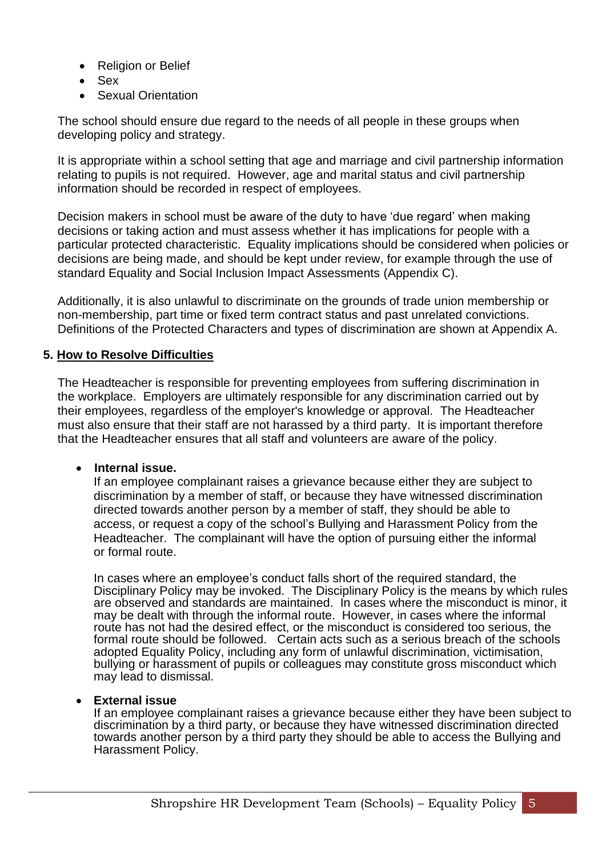- Religion or Belief
- Sex
- **Sexual Orientation**

The school should ensure due regard to the needs of all people in these groups when developing policy and strategy.

It is appropriate within a school setting that age and marriage and civil partnership information relating to pupils is not required. However, age and marital status and civil partnership information should be recorded in respect of employees.

Decision makers in school must be aware of the duty to have 'due regard' when making decisions or taking action and must assess whether it has implications for people with a particular protected characteristic. Equality implications should be considered when policies or decisions are being made, and should be kept under review, for example through the use of standard Equality and Social Inclusion Impact Assessments (Appendix C).

Additionally, it is also unlawful to discriminate on the grounds of trade union membership or non-membership, part time or fixed term contract status and past unrelated convictions. Definitions of the Protected Characters and types of discrimination are shown at Appendix A.

#### **5. How to Resolve Difficulties**

The Headteacher is responsible for preventing employees from suffering discrimination in the workplace. Employers are ultimately responsible for any discrimination carried out by their employees, regardless of the employer's knowledge or approval. The Headteacher must also ensure that their staff are not harassed by a third party. It is important therefore that the Headteacher ensures that all staff and volunteers are aware of the policy.

#### • **Internal issue.**

If an employee complainant raises a grievance because either they are subject to discrimination by a member of staff, or because they have witnessed discrimination directed towards another person by a member of staff, they should be able to access, or request a copy of the school's Bullying and Harassment Policy from the Headteacher. The complainant will have the option of pursuing either the informal or formal route.

In cases where an employee's conduct falls short of the required standard, the Disciplinary Policy may be invoked. The Disciplinary Policy is the means by which rules are observed and standards are maintained. In cases where the misconduct is minor, it may be dealt with through the informal route. However, in cases where the informal route has not had the desired effect, or the misconduct is considered too serious, the formal route should be followed. Certain acts such as a serious breach of the schools adopted Equality Policy, including any form of unlawful discrimination, victimisation, bullying or harassment of pupils or colleagues may constitute gross misconduct which may lead to dismissal.

#### • **External issue**

If an employee complainant raises a grievance because either they have been subject to discrimination by a third party, or because they have witnessed discrimination directed towards another person by a third party they should be able to access the Bullying and Harassment Policy.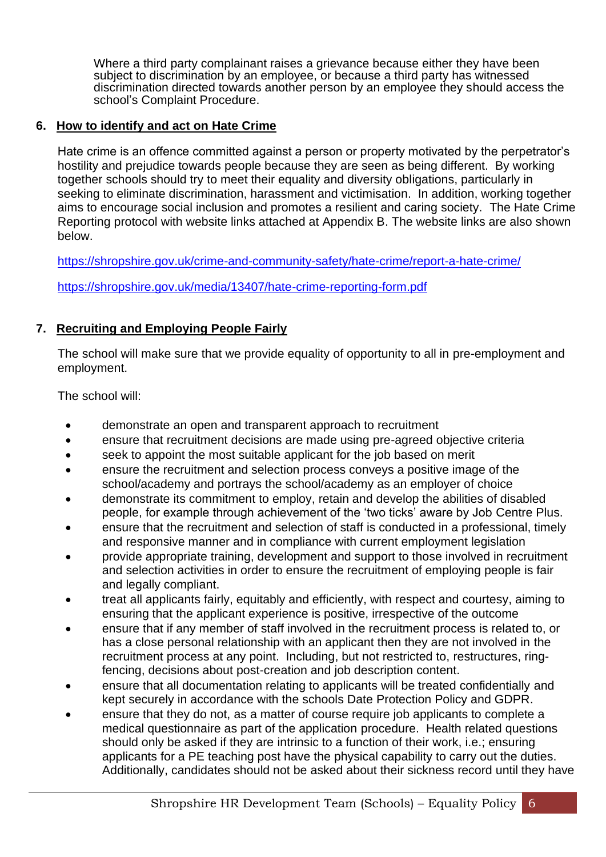Where a third party complainant raises a grievance because either they have been subject to discrimination by an employee, or because a third party has witnessed discrimination directed towards another person by an employee they should access the school's Complaint Procedure.

#### **6. How to identify and act on Hate Crime**

Hate crime is an offence committed against a person or property motivated by the perpetrator's hostility and prejudice towards people because they are seen as being different. By working together schools should try to meet their equality and diversity obligations, particularly in seeking to eliminate discrimination, harassment and victimisation. In addition, working together aims to encourage social inclusion and promotes a resilient and caring society. The Hate Crime Reporting protocol with website links attached at Appendix B. The website links are also shown below.

<https://shropshire.gov.uk/crime-and-community-safety/hate-crime/report-a-hate-crime/>

<https://shropshire.gov.uk/media/13407/hate-crime-reporting-form.pdf>

# **7. Recruiting and Employing People Fairly**

The school will make sure that we provide equality of opportunity to all in pre-employment and employment.

The school will:

- demonstrate an open and transparent approach to recruitment
- ensure that recruitment decisions are made using pre-agreed objective criteria
- seek to appoint the most suitable applicant for the job based on merit
- ensure the recruitment and selection process conveys a positive image of the school/academy and portrays the school/academy as an employer of choice
- demonstrate its commitment to employ, retain and develop the abilities of disabled people, for example through achievement of the 'two ticks' aware by Job Centre Plus.
- ensure that the recruitment and selection of staff is conducted in a professional, timely and responsive manner and in compliance with current employment legislation
- provide appropriate training, development and support to those involved in recruitment and selection activities in order to ensure the recruitment of employing people is fair and legally compliant.
- treat all applicants fairly, equitably and efficiently, with respect and courtesy, aiming to ensuring that the applicant experience is positive, irrespective of the outcome
- ensure that if any member of staff involved in the recruitment process is related to, or has a close personal relationship with an applicant then they are not involved in the recruitment process at any point. Including, but not restricted to, restructures, ringfencing, decisions about post-creation and job description content.
- ensure that all documentation relating to applicants will be treated confidentially and kept securely in accordance with the schools Date Protection Policy and GDPR.
- ensure that they do not, as a matter of course require job applicants to complete a medical questionnaire as part of the application procedure. Health related questions should only be asked if they are intrinsic to a function of their work, i.e.; ensuring applicants for a PE teaching post have the physical capability to carry out the duties. Additionally, candidates should not be asked about their sickness record until they have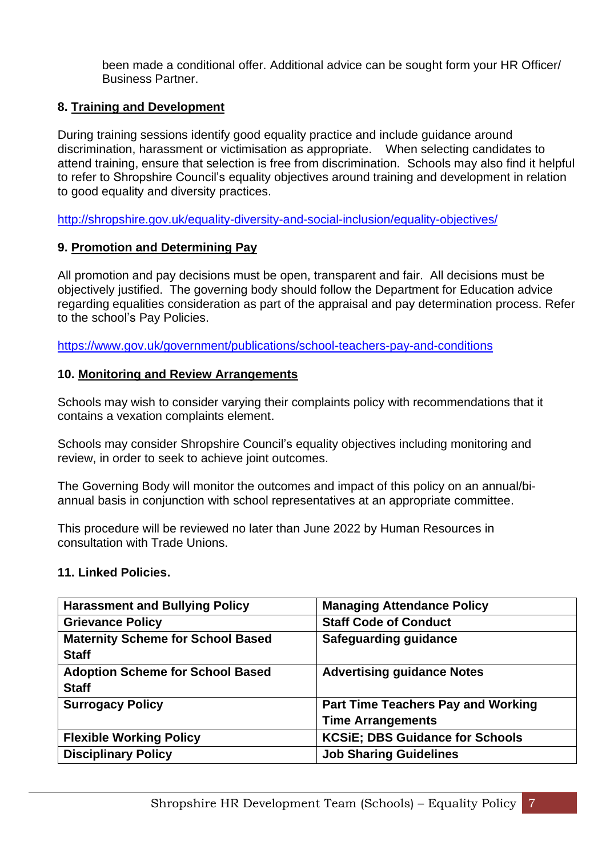been made a conditional offer. Additional advice can be sought form your HR Officer/ Business Partner.

### **8. Training and Development**

During training sessions identify good equality practice and include guidance around discrimination, harassment or victimisation as appropriate. When selecting candidates to attend training, ensure that selection is free from discrimination. Schools may also find it helpful to refer to Shropshire Council's equality objectives around training and development in relation to good equality and diversity practices.

<http://shropshire.gov.uk/equality-diversity-and-social-inclusion/equality-objectives/>

# **9. Promotion and Determining Pay**

All promotion and pay decisions must be open, transparent and fair. All decisions must be objectively justified. The governing body should follow the Department for Education advice regarding equalities consideration as part of the appraisal and pay determination process. Refer to the school's Pay Policies.

<https://www.gov.uk/government/publications/school-teachers-pay-and-conditions>

#### **10. Monitoring and Review Arrangements**

Schools may wish to consider varying their complaints policy with recommendations that it contains a vexation complaints element.

Schools may consider Shropshire Council's equality objectives including monitoring and review, in order to seek to achieve joint outcomes.

The Governing Body will monitor the outcomes and impact of this policy on an annual/biannual basis in conjunction with school representatives at an appropriate committee.

This procedure will be reviewed no later than June 2022 by Human Resources in consultation with Trade Unions.

#### **11. Linked Policies.**

| <b>Harassment and Bullying Policy</b>                    | <b>Managing Attendance Policy</b>                                     |
|----------------------------------------------------------|-----------------------------------------------------------------------|
| <b>Grievance Policy</b>                                  | <b>Staff Code of Conduct</b>                                          |
| <b>Maternity Scheme for School Based</b><br><b>Staff</b> | Safeguarding guidance                                                 |
| <b>Adoption Scheme for School Based</b><br><b>Staff</b>  | <b>Advertising guidance Notes</b>                                     |
| <b>Surrogacy Policy</b>                                  | <b>Part Time Teachers Pay and Working</b><br><b>Time Arrangements</b> |
| <b>Flexible Working Policy</b>                           | <b>KCSiE; DBS Guidance for Schools</b>                                |
| <b>Disciplinary Policy</b>                               | <b>Job Sharing Guidelines</b>                                         |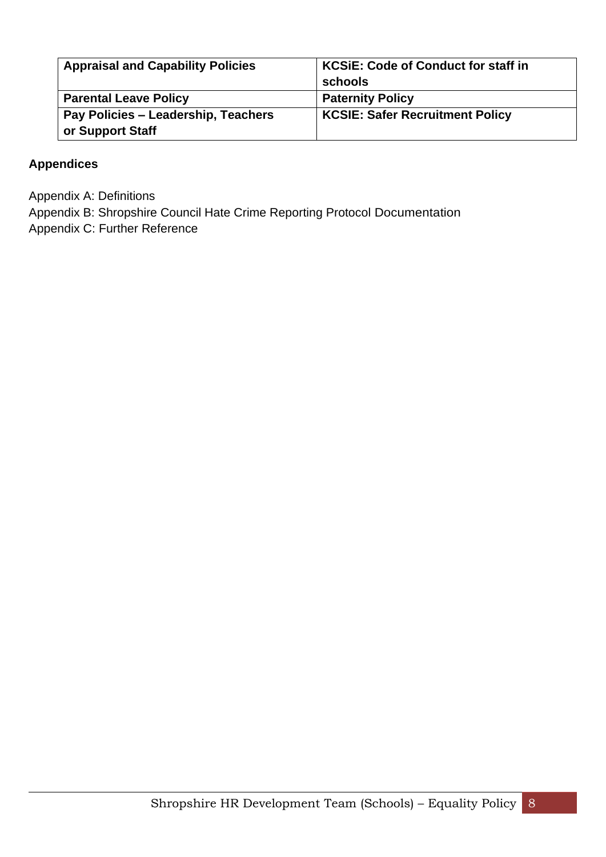| <b>Appraisal and Capability Policies</b> | <b>KCSIE: Code of Conduct for staff in</b><br>schools |
|------------------------------------------|-------------------------------------------------------|
| <b>Parental Leave Policy</b>             | <b>Paternity Policy</b>                               |
| Pay Policies - Leadership, Teachers      | <b>KCSIE: Safer Recruitment Policy</b>                |
| or Support Staff                         |                                                       |

# **Appendices**

Appendix A: Definitions

Appendix B: Shropshire Council Hate Crime Reporting Protocol Documentation

Appendix C: Further Reference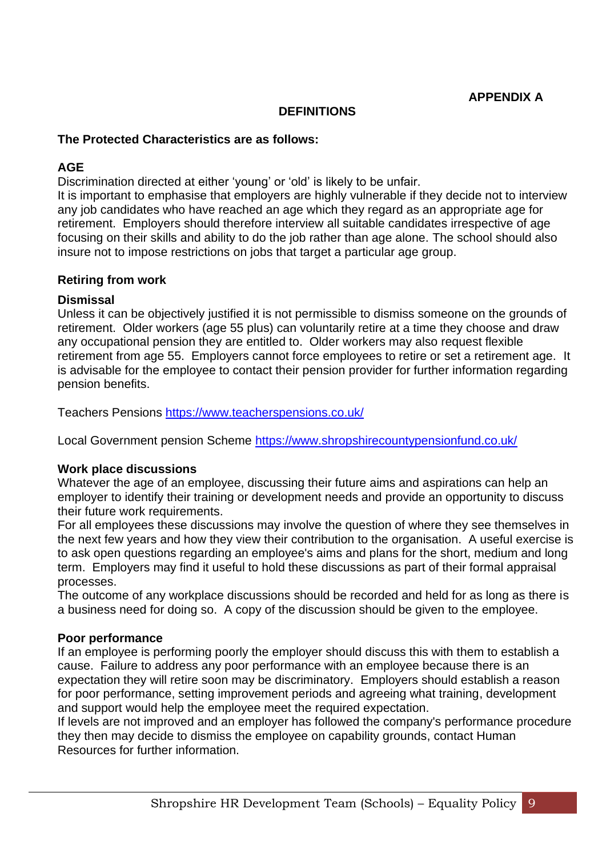**APPENDIX A**

#### **DEFINITIONS**

#### **The Protected Characteristics are as follows:**

#### **AGE**

Discrimination directed at either 'young' or 'old' is likely to be unfair.

It is important to emphasise that employers are highly vulnerable if they decide not to interview any job candidates who have reached an age which they regard as an appropriate age for retirement. Employers should therefore interview all suitable candidates irrespective of age focusing on their skills and ability to do the job rather than age alone. The school should also insure not to impose restrictions on jobs that target a particular age group.

#### **Retiring from work**

#### **Dismissal**

Unless it can be objectively justified it is not permissible to dismiss someone on the grounds of retirement. Older workers (age 55 plus) can voluntarily retire at a time they choose and draw any occupational pension they are entitled to. Older workers may also request flexible retirement from age 55. Employers cannot force employees to retire or set a retirement age. It is advisable for the employee to contact their pension provider for further information regarding pension benefits.

Teachers Pensions<https://www.teacherspensions.co.uk/>

Local Government pension Scheme<https://www.shropshirecountypensionfund.co.uk/>

#### **Work place discussions**

Whatever the age of an employee, discussing their future aims and aspirations can help an employer to identify their training or development needs and provide an opportunity to discuss their future work requirements.

For all employees these discussions may involve the question of where they see themselves in the next few years and how they view their contribution to the organisation. A useful exercise is to ask open questions regarding an employee's aims and plans for the short, medium and long term. Employers may find it useful to hold these discussions as part of their formal appraisal processes.

The outcome of any workplace discussions should be recorded and held for as long as there is a business need for doing so. A copy of the discussion should be given to the employee.

#### **Poor performance**

If an employee is performing poorly the employer should discuss this with them to establish a cause. Failure to address any poor performance with an employee because there is an expectation they will retire soon may be discriminatory. Employers should establish a reason for poor performance, setting improvement periods and agreeing what training, development and support would help the employee meet the required expectation.

If levels are not improved and an employer has followed the company's performance procedure they then may decide to dismiss the employee on capability grounds, contact Human Resources for further information.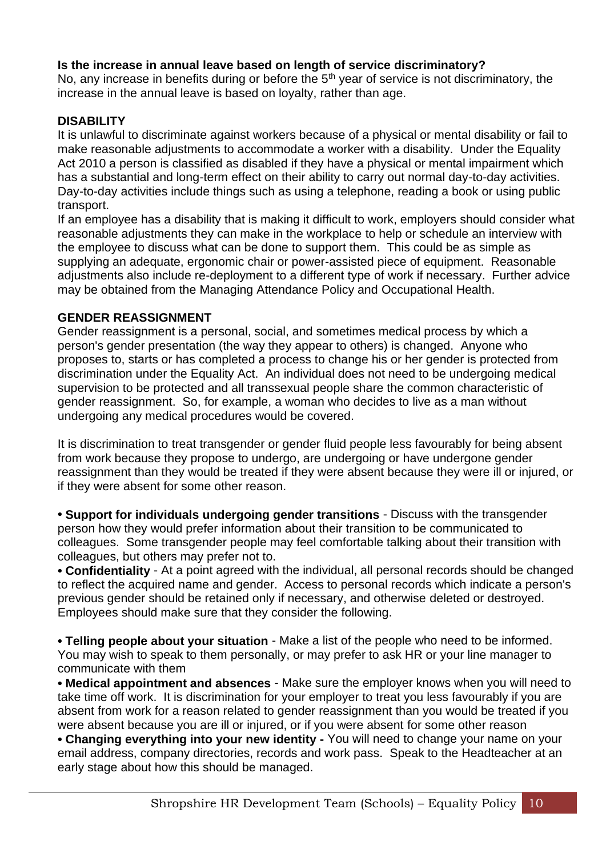### **Is the increase in annual leave based on length of service discriminatory?**

No, any increase in benefits during or before the  $5<sup>th</sup>$  year of service is not discriminatory, the increase in the annual leave is based on loyalty, rather than age.

#### **DISABILITY**

It is unlawful to discriminate against workers because of a physical or mental disability or fail to make reasonable adjustments to accommodate a worker with a disability. Under the Equality Act 2010 a person is classified as disabled if they have a physical or mental impairment which has a substantial and long-term effect on their ability to carry out normal day-to-day activities. Day-to-day activities include things such as using a telephone, reading a book or using public transport.

If an employee has a disability that is making it difficult to work, employers should consider what reasonable adjustments they can make in the workplace to help or schedule an interview with the employee to discuss what can be done to support them. This could be as simple as supplying an adequate, ergonomic chair or power-assisted piece of equipment. Reasonable adjustments also include re-deployment to a different type of work if necessary. Further advice may be obtained from the Managing Attendance Policy and Occupational Health.

#### **GENDER REASSIGNMENT**

Gender reassignment is a personal, social, and sometimes medical process by which a person's gender presentation (the way they appear to others) is changed. Anyone who proposes to, starts or has completed a process to change his or her gender is protected from discrimination under the Equality Act. An individual does not need to be undergoing medical supervision to be protected and all transsexual people share the common characteristic of gender reassignment. So, for example, a woman who decides to live as a man without undergoing any medical procedures would be covered.

It is discrimination to treat transgender or gender fluid people less favourably for being absent from work because they propose to undergo, are undergoing or have undergone gender reassignment than they would be treated if they were absent because they were ill or injured, or if they were absent for some other reason.

• **Support for individuals undergoing gender transitions** - Discuss with the transgender person how they would prefer information about their transition to be communicated to colleagues. Some transgender people may feel comfortable talking about their transition with colleagues, but others may prefer not to.

• **Confidentiality** - At a point agreed with the individual, all personal records should be changed to reflect the acquired name and gender. Access to personal records which indicate a person's previous gender should be retained only if necessary, and otherwise deleted or destroyed. Employees should make sure that they consider the following.

• **Telling people about your situation** - Make a list of the people who need to be informed. You may wish to speak to them personally, or may prefer to ask HR or your line manager to communicate with them

• **Medical appointment and absences** - Make sure the employer knows when you will need to take time off work. It is discrimination for your employer to treat you less favourably if you are absent from work for a reason related to gender reassignment than you would be treated if you were absent because you are ill or injured, or if you were absent for some other reason

• **Changing everything into your new identity -** You will need to change your name on your email address, company directories, records and work pass. Speak to the Headteacher at an early stage about how this should be managed.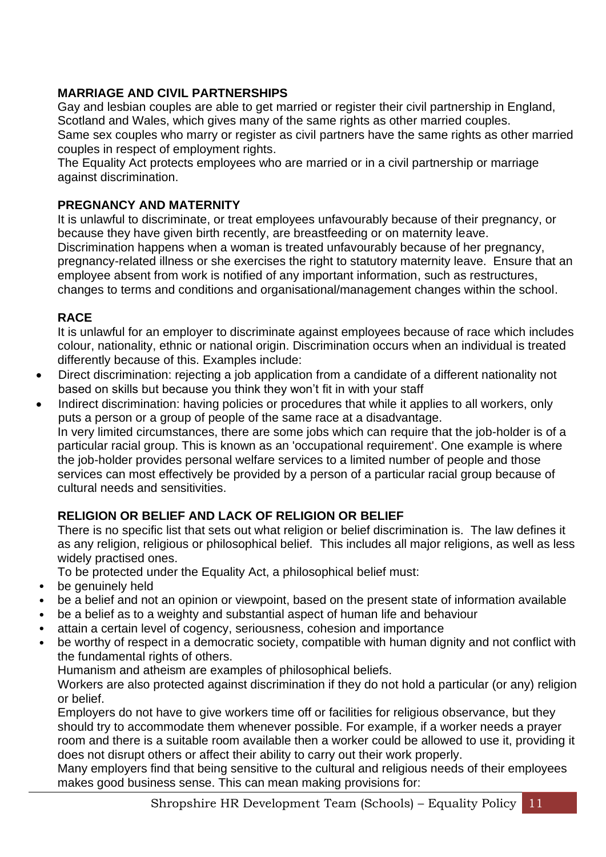# **MARRIAGE AND CIVIL PARTNERSHIPS**

Gay and lesbian couples are able to get married or register their civil partnership in England, Scotland and Wales, which gives many of the same rights as other married couples. Same sex couples who marry or register as civil partners have the same rights as other married couples in respect of employment rights.

The Equality Act protects employees who are married or in a civil partnership or marriage against discrimination.

# **PREGNANCY AND MATERNITY**

It is unlawful to discriminate, or treat employees unfavourably because of their pregnancy, or because they have given birth recently, are breastfeeding or on maternity leave. Discrimination happens when a woman is treated unfavourably because of her pregnancy, pregnancy-related illness or she exercises the right to statutory maternity leave. Ensure that an employee absent from work is notified of any important information, such as restructures, changes to terms and conditions and organisational/management changes within the school.

# **RACE**

It is unlawful for an employer to discriminate against employees because of race which includes colour, nationality, ethnic or national origin. Discrimination occurs when an individual is treated differently because of this. Examples include:

- Direct discrimination: rejecting a job application from a candidate of a different nationality not based on skills but because you think they won't fit in with your staff
- Indirect discrimination: having policies or procedures that while it applies to all workers, only puts a person or a group of people of the same race at a disadvantage.

In very limited circumstances, there are some jobs which can require that the job-holder is of a particular racial group. This is known as an 'occupational requirement'. One example is where the job-holder provides personal welfare services to a limited number of people and those services can most effectively be provided by a person of a particular racial group because of cultural needs and sensitivities.

# **RELIGION OR BELIEF AND LACK OF RELIGION OR BELIEF**

There is no specific list that sets out what religion or belief discrimination is. The law defines it as any religion, religious or philosophical belief. This includes all major religions, as well as less widely practised ones.

To be protected under the Equality Act, a philosophical belief must:

- be genuinely held
- be a belief and not an opinion or viewpoint, based on the present state of information available
- be a belief as to a weighty and substantial aspect of human life and behaviour
- attain a certain level of cogency, seriousness, cohesion and importance
- be worthy of respect in a democratic society, compatible with human dignity and not conflict with the fundamental rights of others.

Humanism and atheism are examples of philosophical beliefs.

Workers are also protected against discrimination if they do not hold a particular (or any) religion or belief.

Employers do not have to give workers time off or facilities for religious observance, but they should try to accommodate them whenever possible. For example, if a worker needs a prayer room and there is a suitable room available then a worker could be allowed to use it, providing it does not disrupt others or affect their ability to carry out their work properly.

Many employers find that being sensitive to the cultural and religious needs of their employees makes good business sense. This can mean making provisions for: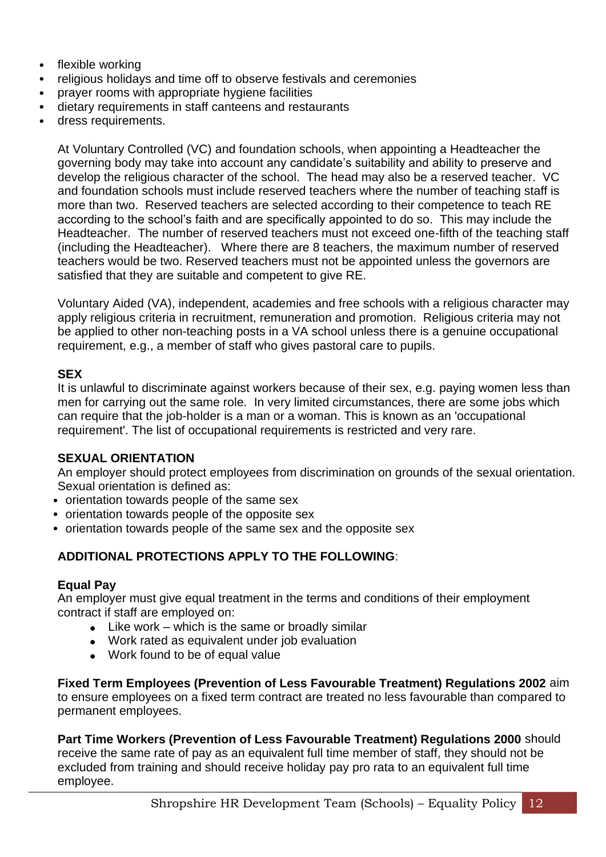- flexible working
- religious holidays and time off to observe festivals and ceremonies
- prayer rooms with appropriate hygiene facilities
- dietary requirements in staff canteens and restaurants
- dress requirements.

At Voluntary Controlled (VC) and foundation schools, when appointing a Headteacher the governing body may take into account any candidate's suitability and ability to preserve and develop the religious character of the school. The head may also be a reserved teacher. VC and foundation schools must include reserved teachers where the number of teaching staff is more than two. Reserved teachers are selected according to their competence to teach RE according to the school's faith and are specifically appointed to do so. This may include the Headteacher. The number of reserved teachers must not exceed one-fifth of the teaching staff (including the Headteacher). Where there are 8 teachers, the maximum number of reserved teachers would be two. Reserved teachers must not be appointed unless the governors are satisfied that they are suitable and competent to give RE.

Voluntary Aided (VA), independent, academies and free schools with a religious character may apply religious criteria in recruitment, remuneration and promotion. Religious criteria may not be applied to other non-teaching posts in a VA school unless there is a genuine occupational requirement, e.g., a member of staff who gives pastoral care to pupils.

#### **SEX**

It is unlawful to discriminate against workers because of their sex, e.g. paying women less than men for carrying out the same role. In very limited circumstances, there are some jobs which can require that the job-holder is a man or a woman. This is known as an 'occupational requirement'. The list of occupational requirements is restricted and very rare.

#### **SEXUAL ORIENTATION**

An employer should protect employees from discrimination on grounds of the sexual orientation. Sexual orientation is defined as:

- orientation towards people of the same sex
- orientation towards people of the opposite sex
- orientation towards people of the same sex and the opposite sex

# **ADDITIONAL PROTECTIONS APPLY TO THE FOLLOWING**:

#### **Equal Pay**

An employer must give equal treatment in the terms and conditions of their employment contract if staff are employed on:

- $\bullet$  Like work which is the same or broadly similar
- Work rated as equivalent under job evaluation
- Work found to be of equal value

**Fixed Term Employees (Prevention of Less Favourable Treatment) Regulations 2002** aim to ensure employees on a fixed term contract are treated no less favourable than compared to permanent employees.

**Part Time Workers (Prevention of Less Favourable Treatment) Regulations 2000** should receive the same rate of pay as an equivalent full time member of staff, they should not be excluded from training and should receive holiday pay pro rata to an equivalent full time employee.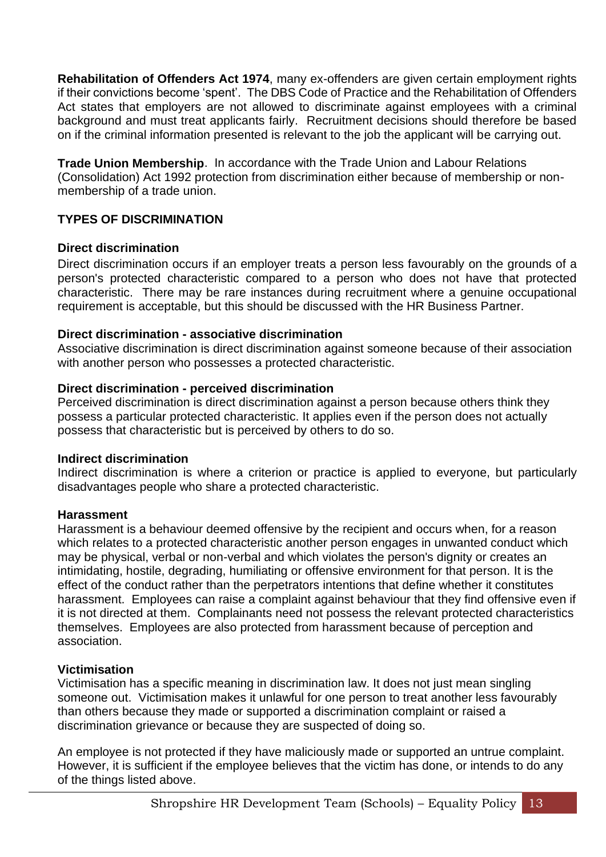**Rehabilitation of Offenders Act 1974**, many ex-offenders are given certain employment rights if their convictions become 'spent'. The DBS Code of Practice and the Rehabilitation of Offenders Act states that employers are not allowed to discriminate against employees with a criminal background and must treat applicants fairly. Recruitment decisions should therefore be based on if the criminal information presented is relevant to the job the applicant will be carrying out.

**Trade Union Membership**. In accordance with the Trade Union and Labour Relations (Consolidation) Act 1992 protection from discrimination either because of membership or nonmembership of a trade union.

# **TYPES OF DISCRIMINATION**

#### **Direct discrimination**

Direct discrimination occurs if an employer treats a person less favourably on the grounds of a person's protected characteristic compared to a person who does not have that protected characteristic. There may be rare instances during recruitment where a genuine occupational requirement is acceptable, but this should be discussed with the HR Business Partner.

#### **Direct discrimination - associative discrimination**

Associative discrimination is direct discrimination against someone because of their association with another person who possesses a protected characteristic.

#### **Direct discrimination - perceived discrimination**

Perceived discrimination is direct discrimination against a person because others think they possess a particular protected characteristic. It applies even if the person does not actually possess that characteristic but is perceived by others to do so.

#### **Indirect discrimination**

Indirect discrimination is where a criterion or practice is applied to everyone, but particularly disadvantages people who share a protected characteristic.

#### **Harassment**

Harassment is a behaviour deemed offensive by the recipient and occurs when, for a reason which relates to a protected characteristic another person engages in unwanted conduct which may be physical, verbal or non-verbal and which violates the person's dignity or creates an intimidating, hostile, degrading, humiliating or offensive environment for that person. It is the effect of the conduct rather than the perpetrators intentions that define whether it constitutes harassment. Employees can raise a complaint against behaviour that they find offensive even if it is not directed at them. Complainants need not possess the relevant protected characteristics themselves. Employees are also protected from harassment because of perception and association.

#### **Victimisation**

Victimisation has a specific meaning in discrimination law. It does not just mean singling someone out. Victimisation makes it unlawful for one person to treat another less favourably than others because they made or supported a discrimination complaint or raised a discrimination grievance or because they are suspected of doing so.

An employee is not protected if they have maliciously made or supported an untrue complaint. However, it is sufficient if the employee believes that the victim has done, or intends to do any of the things listed above.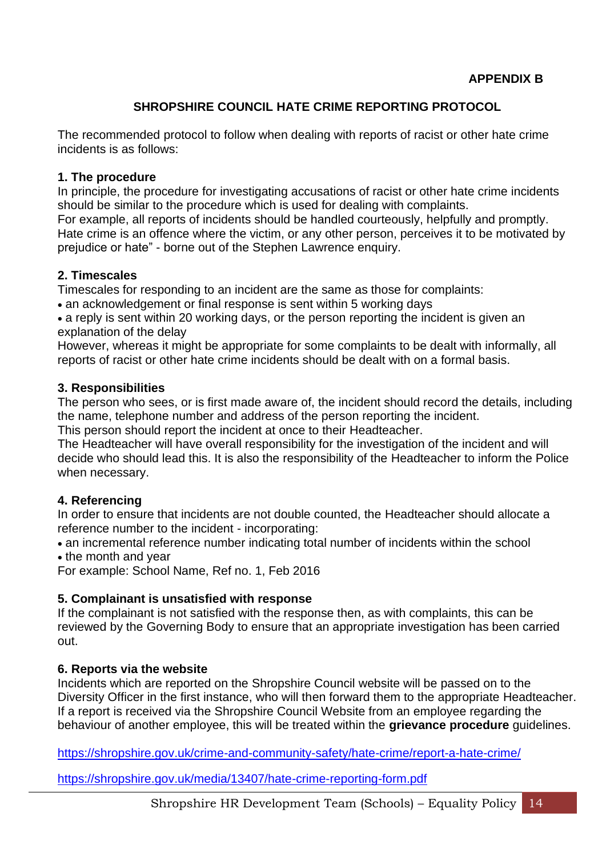# **SHROPSHIRE COUNCIL HATE CRIME REPORTING PROTOCOL**

The recommended protocol to follow when dealing with reports of racist or other hate crime incidents is as follows:

#### **[1. The procedure](http://staff.shropshire.gov.uk/policies-and-guidance/hr-and-payroll/hate-crime-reporting-protocol/)**

In principle, the procedure for investigating accusations of racist or other hate crime incidents should be similar to the procedure which is used for dealing with complaints.

For example, all reports of incidents should be handled courteously, helpfully and promptly. Hate crime is an offence where the victim, or any other person, perceives it to be motivated by prejudice or hate" - borne out of the Stephen Lawrence enquiry.

#### **[2. Timescales](http://staff.shropshire.gov.uk/policies-and-guidance/hr-and-payroll/hate-crime-reporting-protocol/)**

Timescales for responding to an incident are the same as those for complaints:

• an acknowledgement or final response is sent within 5 working days

• a reply is sent within 20 working days, or the person reporting the incident is given an explanation of the delay

However, whereas it might be appropriate for some complaints to be dealt with informally, all reports of racist or other hate crime incidents should be dealt with on a formal basis.

#### **[3. Responsibilities](http://staff.shropshire.gov.uk/policies-and-guidance/hr-and-payroll/hate-crime-reporting-protocol/)**

The person who sees, or is first made aware of, the incident should record the details, including the name, telephone number and address of the person reporting the incident.

This person should report the incident at once to their Headteacher.

The Headteacher will have overall responsibility for the investigation of the incident and will decide who should lead this. It is also the responsibility of the Headteacher to inform the Police when necessary.

#### **[4. Referencing](http://staff.shropshire.gov.uk/policies-and-guidance/hr-and-payroll/hate-crime-reporting-protocol/)**

In order to ensure that incidents are not double counted, the Headteacher should allocate a reference number to the incident - incorporating:

• an incremental reference number indicating total number of incidents within the school • the month and year

For example: School Name, Ref no. 1, Feb 2016

#### **[5. Complainant is unsatisfied with response](http://staff.shropshire.gov.uk/policies-and-guidance/hr-and-payroll/hate-crime-reporting-protocol/)**

If the complainant is not satisfied with the response then, as with complaints, this can be reviewed by the Governing Body to ensure that an appropriate investigation has been carried out.

#### **[6. Reports via the website](http://staff.shropshire.gov.uk/policies-and-guidance/hr-and-payroll/hate-crime-reporting-protocol/)**

Incidents which are reported on the Shropshire Council website will be passed on to the Diversity Officer in the first instance, who will then forward them to the appropriate Headteacher. If a report is received via the Shropshire Council Website from an employee regarding the behaviour of another employee, this will be treated within the **[grievance procedure](http://staff.shropshire.gov.uk/policies-and-guidance/hr-and-payroll/grievance-policy-and-procedure/)** guidelines.

<https://shropshire.gov.uk/crime-and-community-safety/hate-crime/report-a-hate-crime/>

<https://shropshire.gov.uk/media/13407/hate-crime-reporting-form.pdf>